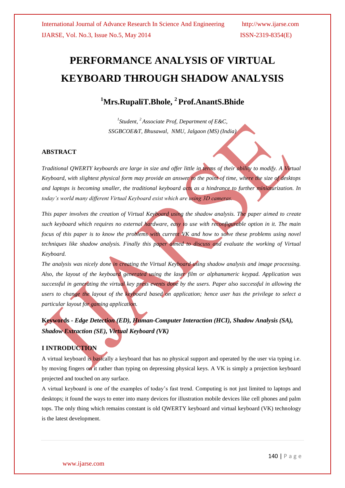# **PERFORMANCE ANALYSIS OF VIRTUAL KEYBOARD THROUGH SHADOW ANALYSIS**

# **<sup>1</sup>Mrs.RupaliT.Bhole, <sup>2</sup>Prof.AnantS.Bhide**

*1 Student, <sup>2</sup>Associate Prof, Department of E&C, SSGBCOE&T, Bhusawal, NMU, Jalgaon (MS) (India)*

# **ABSTRACT**

*Traditional QWERTY keyboards are large in size and offer little in terms of their ability to modify. A Virtual Keyboard, with slightest physical form may provide an answer to the point of time, where the size of desktops and laptops is becoming smaller, the traditional keyboard acts as a hindrance to further miniaturization. In today's world many different Virtual Keyboard exist which are using 3D cameras.* 

*This paper involves the creation of Virtual Keyboard using the shadow analysis. The paper aimed to create such keyboard which requires no external hardware, easy to use with reconfigurable option in it. The main focus of this paper is to know the problems with current VK and how to solve these problems using novel techniques like shadow analysis. Finally this paper aimed to discuss and evaluate the working of Virtual Keyboard.*

*The analysis was nicely done in creating the Virtual Keyboard using shadow analysis and image processing. Also, the layout of the keyboard generated using the laser film or alphanumeric keypad. Application was successful in generating the virtual key press events done by the users. Paper also successful in allowing the users to change the layout of the keyboard based on application; hence user has the privilege to select a particular layout for gaming application.*

**Keywords -** *Edge Detection (ED), Human-Computer Interaction (HCI), Shadow Analysis (SA), Shadow Extraction (SE), Virtual Keyboard (VK)*

# **I INTRODUCTION**

A virtual keyboard is basically a keyboard that has no physical support and operated by the user via typing i.e. by moving fingers on it rather than typing on depressing physical keys. A VK is simply a projection keyboard projected and touched on any surface.

A virtual keyboard is one of the examples of today's fast trend. Computing is not just limited to laptops and desktops; it found the ways to enter into many devices for illustration mobile devices like cell phones and palm tops. The only thing which remains constant is old QWERTY keyboard and virtual keyboard (VK) technology is the latest development.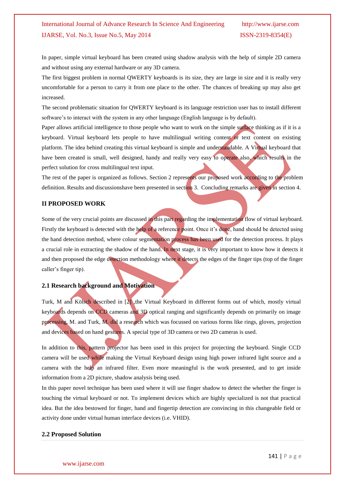In paper, simple virtual keyboard has been created using shadow analysis with the help of simple 2D camera and without using any external hardware or any 3D camera.

The first biggest problem in normal QWERTY keyboards is its size, they are large in size and it is really very uncomfortable for a person to carry it from one place to the other. The chances of breaking up may also get increased.

The second problematic situation for QWERTY keyboard is its language restriction user has to install different software's to interact with the system in any other language (English language is by default).

Paper allows artificial intelligence to those people who want to work on the simple surface thinking as if it is a keyboard. Virtual keyboard lets people to have multilingual writing content or text content on existing platform. The idea behind creating this virtual keyboard is simple and understandable. A Virtual keyboard that have been created is small, well designed, handy and really very easy to operate also, which results in the perfect solution for cross multilingual text input.

The rest of the paper is organized as follows. Section 2 represents our proposed work according to the problem definition. Results and discussionshave been presented in section 3. Concluding remarks are given in section 4.

#### **II PROPOSED WORK**

Some of the very crucial points are discussed in this part regarding the implementation flow of virtual keyboard. Firstly the keyboard is detected with the help of a reference point. Once it's done, hand should be detected using the hand detection method, where colour segmentation process has been used for the detection process. It plays a crucial role in extracting the shadow of the hand. In next stage, it is very important to know how it detects it and then proposed the edge detection methodology where it detects the edges of the finger tips (top of the finger caller's finger tip).

### **2.1 Research background and Motivation**

Turk, M and Kölsch described in [2] ,the Virtual Keyboard in different forms out of which, mostly virtual keyboards depends on CCD cameras and 3D optical ranging and significantly depends on primarily on image processing, M. and Turk, M. did a research which was focussed on various forms like rings, gloves, projection and devices based on hand gestures. A special type of 3D camera or two 2D cameras is used.

In addition to this, pattern projector has been used in this project for projecting the keyboard. Single CCD camera will be used while making the Virtual Keyboard design using high power infrared light source and a camera with the help an infrared filter. Even more meaningful is the work presented, and to get inside information from a 2D picture, shadow analysis being used.

In this paper novel technique has been used where it will use finger shadow to detect the whether the finger is touching the virtual keyboard or not. To implement devices which are highly specialized is not that practical idea. But the idea bestowed for finger, hand and fingertip detection are convincing in this changeable field or activity done under virtual human interface devices (i.e. VHID).

#### **2.2 Proposed Solution**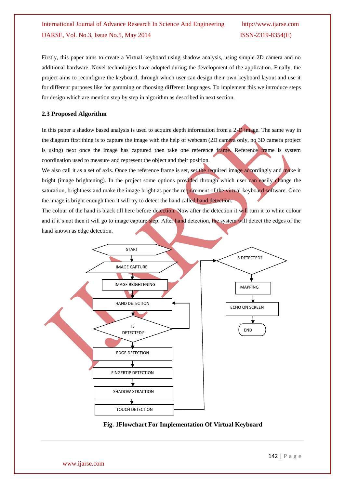Firstly, this paper aims to create a Virtual keyboard using shadow analysis, using simple 2D camera and no additional hardware. Novel technologies have adopted during the development of the application. Finally, the project aims to reconfigure the keyboard, through which user can design their own keyboard layout and use it for different purposes like for gamming or choosing different languages. To implement this we introduce steps for design which are mention step by step in algorithm as described in next section.

#### **2.3 Proposed Algorithm**

In this paper a shadow based analysis is used to acquire depth information from a 2-D image. The same way in the diagram first thing is to capture the image with the help of webcam (2D camera only, no 3D camera project is using) next once the image has captured then take one reference frame. Reference frame is system coordination used to measure and represent the object and their position.

We also call it as a set of axis. Once the reference frame is set, set the required image accordingly and make it bright (image brightening). In the project some options provided through which user can easily change the saturation, brightness and make the image bright as per the requirement of the virtual keyboard software. Once the image is bright enough then it will try to detect the hand called hand detection.

The colour of the hand is black till here before detection. Now after the detection it will turn it to white colour and if it's not then it will go to image capture step. After hand detection, the system will detect the edges of the hand known as edge detection.



### **Fig. 1Flowchart For Implementation Of Virtual Keyboard**

www.ijarse.com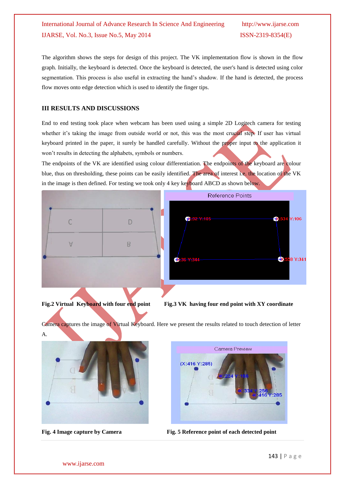The algorithm shows the steps for design of this project. The VK implementation flow is shown in the flow graph. Initially, the keyboard is detected. Once the keyboard is detected, the user's hand is detected using color segmentation. This process is also useful in extracting the hand's shadow. If the hand is detected, the process flow moves onto edge detection which is used to identify the finger tips.

# **III RESULTS AND DISCUSSIONS**

End to end testing took place when webcam has been used using a simple 2D Logitech camera for testing whether it's taking the image from outside world or not, this was the most crucial step. If user has virtual keyboard printed in the paper, it surely be handled carefully. Without the proper input to the application it won't results in detecting the alphabets, symbols or numbers.

The endpoints of the VK are identified using colour differentiation. The endpoints of the keyboard are colour blue, thus on thresholding, these points can be easily identified. The area of interest i.e. the location of the VK in the image is then defined. For testing we took only 4 key keyboard ABCD as shown below.





Camera captures the image of Virtual Keyboard. Here we present the results related to touch detection of letter A.





**Fig. 4 Image capture by Camera Fig. 5 Reference point of each detected point**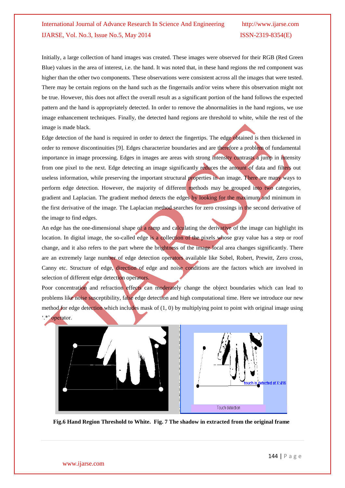Initially, a large collection of hand images was created. These images were observed for their RGB (Red Green Blue) values in the area of interest, i.e. the hand. It was noted that, in these hand regions the red component was higher than the other two components. These observations were consistent across all the images that were tested. There may be certain regions on the hand such as the fingernails and/or veins where this observation might not be true. However, this does not affect the overall result as a significant portion of the hand follows the expected pattern and the hand is appropriately detected. In order to remove the abnormalities in the hand regions, we use image enhancement techniques. Finally, the detected hand regions are threshold to white, while the rest of the image is made black.

Edge detection of the hand is required in order to detect the fingertips. The edge obtained is then thickened in order to remove discontinuities [9]. Edges characterize boundaries and are therefore a problem of fundamental importance in image processing. Edges in images are areas with strong intensity contrasts a jump in intensity from one pixel to the next. Edge detecting an image significantly reduces the amount of data and filters out useless information, while preserving the important structural properties in an image. There are many ways to perform edge detection. However, the majority of different methods may be grouped into two categories, gradient and Laplacian. The gradient method detects the edges by looking for the maximum and minimum in the first derivative of the image. The Laplacian method searches for zero crossings in the second derivative of the image to find edges.

An edge has the one-dimensional shape of a ramp and calculating the derivative of the image can highlight its location. In digital image, the so-called edge is a collection of the pixels whose gray value has a step or roof change, and it also refers to the part where the brightness of the image local area changes significantly. There are an extremely large number of edge detection operators available like Sobel, Robert, Prewitt, Zero cross, Canny etc. Structure of edge, direction of edge and noise conditions are the factors which are involved in selection of different edge detection operators.

Poor concentration and refraction effects can moderately change the object boundaries which can lead to problems like noise susceptibility, false edge detection and high computational time. Here we introduce our new method for edge detection which includes mask of  $(1, 0)$  by multiplying point to point with original image using operator.



**Fig.6 Hand Region Threshold to White. Fig. 7 The shadow in extracted from the original frame**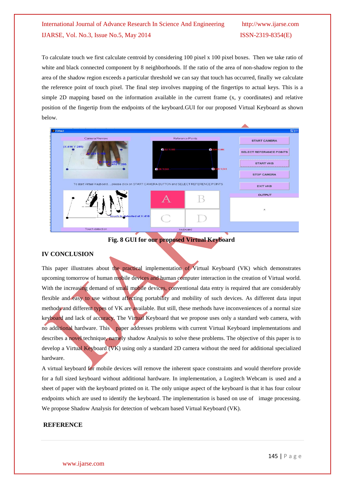To calculate touch we first calculate centroid by considering 100 pixel x 100 pixel boxes. Then we take ratio of white and black connected component by 8 neighborhoods. If the ratio of the area of non-shadow region to the area of the shadow region exceeds a particular threshold we can say that touch has occurred, finally we calculate the reference point of touch pixel. The final step involves mapping of the fingertips to actual keys. This is a simple 2D mapping based on the information available in the current frame (x, y coordinates) and relative position of the fingertip from the endpoints of the keyboard.GUI for our proposed Virtual Keyboard as shown below.



### **Fig. 8 GUI for our proposed Virtual Keyboard**

#### **IV CONCLUSION**

This paper illustrates about the practical implementation of Virtual Keyboard (VK) which demonstrates upcoming tomorrow of human mobile devices and human computer interaction in the creation of Virtual world. With the increasing demand of small mobile devices, conventional data entry is required that are considerably flexible and easy to use without affecting portability and mobility of such devices. As different data input methods and different types of VK are available. But still, these methods have inconveniences of a normal size keyboard and lack of accuracy. The Virtual Keyboard that we propose uses only a standard web camera, with no additional hardware. This paper addresses problems with current Virtual Keyboard implementations and describes a novel technique, namely shadow Analysis to solve these problems. The objective of this paper is to develop a Virtual Keyboard (VK) using only a standard 2D camera without the need for additional specialized hardware.

A virtual keyboard for mobile devices will remove the inherent space constraints and would therefore provide for a full sized keyboard without additional hardware. In implementation, a Logitech Webcam is used and a sheet of paper with the keyboard printed on it. The only unique aspect of the keyboard is that it has four colour endpoints which are used to identify the keyboard. The implementation is based on use of image processing. We propose Shadow Analysis for detection of webcam based Virtual Keyboard (VK).

#### **REFERENCE**